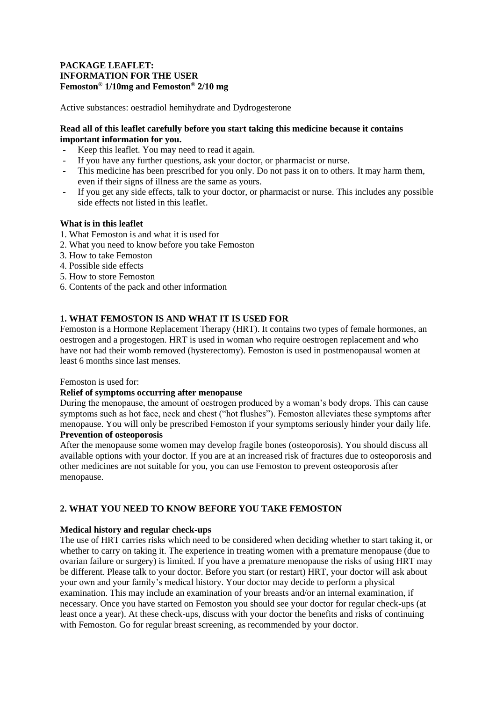## **PACKAGE LEAFLET: INFORMATION FOR THE USER Femoston® 1/10mg and Femoston® 2/10 mg**

Active substances: oestradiol hemihydrate and Dydrogesterone

## **Read all of this leaflet carefully before you start taking this medicine because it contains important information for you.**

- Keep this leaflet. You may need to read it again.
- If you have any further questions, ask your doctor, or pharmacist or nurse.
- This medicine has been prescribed for you only. Do not pass it on to others. It may harm them, even if their signs of illness are the same as yours.
- If you get any side effects, talk to your doctor, or pharmacist or nurse. This includes any possible side effects not listed in this leaflet.

## **What is in this leaflet**

- 1. What Femoston is and what it is used for
- 2. What you need to know before you take Femoston
- 3. How to take Femoston
- 4. Possible side effects
- 5. How to store Femoston
- 6. Contents of the pack and other information

## **1. WHAT FEMOSTON IS AND WHAT IT IS USED FOR**

Femoston is a Hormone Replacement Therapy (HRT). It contains two types of female hormones, an oestrogen and a progestogen. HRT is used in woman who require oestrogen replacement and who have not had their womb removed (hysterectomy). Femoston is used in postmenopausal women at least 6 months since last menses.

Femoston is used for:

## **Relief of symptoms occurring after menopause**

During the menopause, the amount of oestrogen produced by a woman's body drops. This can cause symptoms such as hot face, neck and chest ("hot flushes"). Femoston alleviates these symptoms after menopause. You will only be prescribed Femoston if your symptoms seriously hinder your daily life.

# **Prevention of osteoporosis**

After the menopause some women may develop fragile bones (osteoporosis). You should discuss all available options with your doctor. If you are at an increased risk of fractures due to osteoporosis and other medicines are not suitable for you, you can use Femoston to prevent osteoporosis after menopause.

## **2. WHAT YOU NEED TO KNOW BEFORE YOU TAKE FEMOSTON**

## **Medical history and regular check-ups**

The use of HRT carries risks which need to be considered when deciding whether to start taking it, or whether to carry on taking it. The experience in treating women with a premature menopause (due to ovarian failure or surgery) is limited. If you have a premature menopause the risks of using HRT may be different. Please talk to your doctor. Before you start (or restart) HRT, your doctor will ask about your own and your family's medical history. Your doctor may decide to perform a physical examination. This may include an examination of your breasts and/or an internal examination, if necessary. Once you have started on Femoston you should see your doctor for regular check-ups (at least once a year). At these check-ups, discuss with your doctor the benefits and risks of continuing with Femoston. Go for regular breast screening, as recommended by your doctor.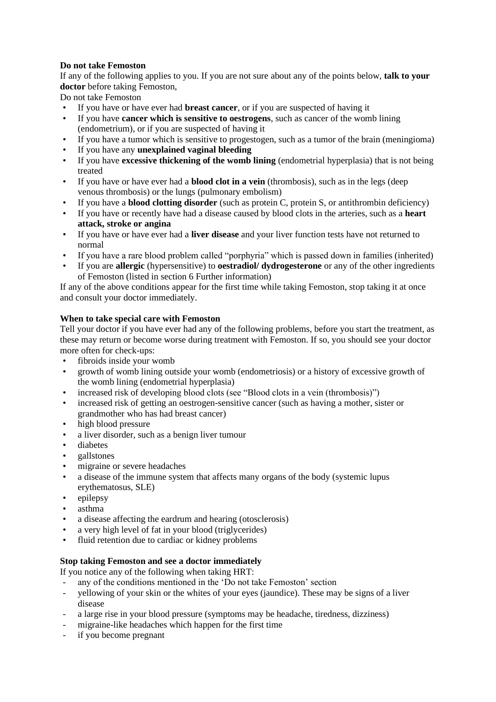## **Do not take Femoston**

If any of the following applies to you. If you are not sure about any of the points below, **talk to your doctor** before taking Femoston,

Do not take Femoston

- If you have or have ever had **breast cancer**, or if you are suspected of having it
- If you have **cancer which is sensitive to oestrogens**, such as cancer of the womb lining (endometrium), or if you are suspected of having it
- If you have a tumor which is sensitive to progestogen, such as a tumor of the brain (meningioma)
- If you have any **unexplained vaginal bleeding**
- If you have **excessive thickening of the womb lining** (endometrial hyperplasia) that is not being treated
- If you have or have ever had a **blood clot in a vein** (thrombosis), such as in the legs (deep venous thrombosis) or the lungs (pulmonary embolism)
- If you have a **blood clotting disorder** (such as protein C, protein S, or antithrombin deficiency)
- If you have or recently have had a disease caused by blood clots in the arteries, such as a **heart attack, stroke or angina**
- If you have or have ever had a **liver disease** and your liver function tests have not returned to normal
- If you have a rare blood problem called "porphyria" which is passed down in families (inherited)
- If you are **allergic** (hypersensitive) to **oestradiol/ dydrogesterone** or any of the other ingredients of Femoston (listed in section 6 Further information)

If any of the above conditions appear for the first time while taking Femoston, stop taking it at once and consult your doctor immediately.

## **When to take special care with Femoston**

Tell your doctor if you have ever had any of the following problems, before you start the treatment, as these may return or become worse during treatment with Femoston. If so, you should see your doctor more often for check-ups:

- fibroids inside your womb
- growth of womb lining outside your womb (endometriosis) or a history of excessive growth of the womb lining (endometrial hyperplasia)
- increased risk of developing blood clots (see "Blood clots in a vein (thrombosis)")
- increased risk of getting an oestrogen-sensitive cancer (such as having a mother, sister or grandmother who has had breast cancer)
- high blood pressure
- a liver disorder, such as a benign liver tumour
- diabetes
- gallstones
- migraine or severe headaches
- a disease of the immune system that affects many organs of the body (systemic lupus erythematosus, SLE)
- epilepsy
- asthma
- a disease affecting the eardrum and hearing (otosclerosis)
- a very high level of fat in your blood (triglycerides)
- fluid retention due to cardiac or kidney problems

## **Stop taking Femoston and see a doctor immediately**

If you notice any of the following when taking HRT:

- any of the conditions mentioned in the 'Do not take Femoston' section
- yellowing of your skin or the whites of your eyes (jaundice). These may be signs of a liver disease
- a large rise in your blood pressure (symptoms may be headache, tiredness, dizziness)
- migraine-like headaches which happen for the first time
- if you become pregnant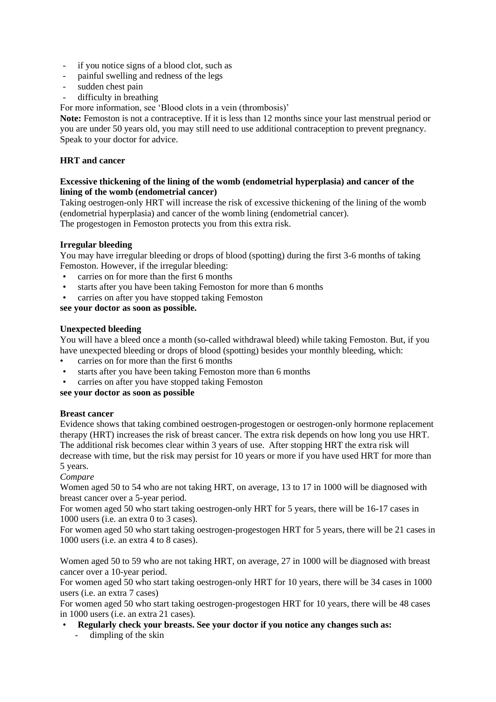- if you notice signs of a blood clot, such as
- painful swelling and redness of the legs
- sudden chest pain
- difficulty in breathing

For more information, see 'Blood clots in a vein (thrombosis)'

Note: Femoston is not a contraceptive. If it is less than 12 months since your last menstrual period or you are under 50 years old, you may still need to use additional contraception to prevent pregnancy. Speak to your doctor for advice.

## **HRT and cancer**

## **Excessive thickening of the lining of the womb (endometrial hyperplasia) and cancer of the lining of the womb (endometrial cancer)**

Taking oestrogen-only HRT will increase the risk of excessive thickening of the lining of the womb (endometrial hyperplasia) and cancer of the womb lining (endometrial cancer). The progestogen in Femoston protects you from this extra risk.

**Irregular bleeding**

You may have irregular bleeding or drops of blood (spotting) during the first 3-6 months of taking Femoston. However, if the irregular bleeding:

- carries on for more than the first 6 months
- starts after you have been taking Femoston for more than 6 months
- carries on after you have stopped taking Femoston

**see your doctor as soon as possible.**

## **Unexpected bleeding**

You will have a bleed once a month (so-called withdrawal bleed) while taking Femoston. But, if you have unexpected bleeding or drops of blood (spotting) besides your monthly bleeding, which:

- carries on for more than the first 6 months
- starts after you have been taking Femoston more than 6 months
- carries on after you have stopped taking Femoston

## **see your doctor as soon as possible**

## **Breast cancer**

Evidence shows that taking combined oestrogen-progestogen or oestrogen-only hormone replacement therapy (HRT) increases the risk of breast cancer. The extra risk depends on how long you use HRT. The additional risk becomes clear within 3 years of use. After stopping HRT the extra risk will decrease with time, but the risk may persist for 10 years or more if you have used HRT for more than 5 years.

*Compare*

Women aged 50 to 54 who are not taking HRT, on average, 13 to 17 in 1000 will be diagnosed with breast cancer over a 5-year period.

For women aged 50 who start taking oestrogen-only HRT for 5 years, there will be 16-17 cases in 1000 users (i.e. an extra 0 to 3 cases).

For women aged 50 who start taking oestrogen-progestogen HRT for 5 years, there will be 21 cases in 1000 users (i.e. an extra 4 to 8 cases).

Women aged 50 to 59 who are not taking HRT, on average, 27 in 1000 will be diagnosed with breast cancer over a 10-year period.

For women aged 50 who start taking oestrogen-only HRT for 10 years, there will be 34 cases in 1000 users (i.e. an extra 7 cases)

For women aged 50 who start taking oestrogen-progestogen HRT for 10 years, there will be 48 cases in 1000 users (i.e. an extra 21 cases).

- **Regularly check your breasts. See your doctor if you notice any changes such as:**
	- dimpling of the skin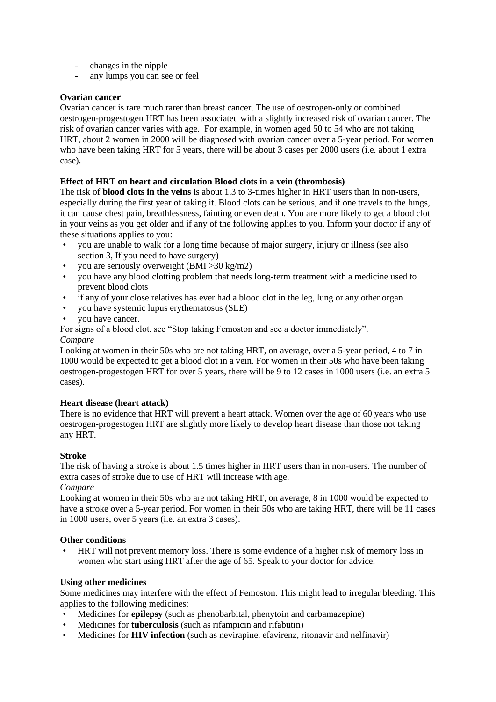- changes in the nipple
- any lumps you can see or feel

## **Ovarian cancer**

Ovarian cancer is rare much rarer than breast cancer. The use of oestrogen-only or combined oestrogen-progestogen HRT has been associated with a slightly increased risk of ovarian cancer. The risk of ovarian cancer varies with age. For example, in women aged 50 to 54 who are not taking HRT, about 2 women in 2000 will be diagnosed with ovarian cancer over a 5-year period. For women who have been taking HRT for 5 years, there will be about 3 cases per 2000 users (i.e. about 1 extra case).

## **Effect of HRT on heart and circulation Blood clots in a vein (thrombosis)**

The risk of **blood clots in the veins** is about 1.3 to 3-times higher in HRT users than in non-users, especially during the first year of taking it. Blood clots can be serious, and if one travels to the lungs, it can cause chest pain, breathlessness, fainting or even death. You are more likely to get a blood clot in your veins as you get older and if any of the following applies to you. Inform your doctor if any of these situations applies to you:

- you are unable to walk for a long time because of major surgery, injury or illness (see also section 3, If you need to have surgery)
- you are seriously overweight (BMI >30 kg/m2)
- you have any blood clotting problem that needs long-term treatment with a medicine used to prevent blood clots
- if any of your close relatives has ever had a blood clot in the leg, lung or any other organ
- you have systemic lupus erythematosus (SLE)
- vou have cancer.

For signs of a blood clot, see "Stop taking Femoston and see a doctor immediately".

#### *Compare*

Looking at women in their 50s who are not taking HRT, on average, over a 5-year period, 4 to 7 in 1000 would be expected to get a blood clot in a vein. For women in their 50s who have been taking oestrogen-progestogen HRT for over 5 years, there will be 9 to 12 cases in 1000 users (i.e. an extra 5 cases).

## **Heart disease (heart attack)**

There is no evidence that HRT will prevent a heart attack. Women over the age of 60 years who use oestrogen-progestogen HRT are slightly more likely to develop heart disease than those not taking any HRT.

## **Stroke**

The risk of having a stroke is about 1.5 times higher in HRT users than in non-users. The number of extra cases of stroke due to use of HRT will increase with age.

## *Compare*

Looking at women in their 50s who are not taking HRT, on average, 8 in 1000 would be expected to have a stroke over a 5-year period. For women in their 50s who are taking HRT, there will be 11 cases in 1000 users, over 5 years (i.e. an extra 3 cases).

## **Other conditions**

• HRT will not prevent memory loss. There is some evidence of a higher risk of memory loss in women who start using HRT after the age of 65. Speak to your doctor for advice.

## **Using other medicines**

Some medicines may interfere with the effect of Femoston. This might lead to irregular bleeding. This applies to the following medicines:

- Medicines for **epilepsy** (such as phenobarbital, phenytoin and carbamazepine)
- Medicines for **tuberculosis** (such as rifampicin and rifabutin)
- Medicines for **HIV infection** (such as nevirapine, efavirenz, ritonavir and nelfinavir)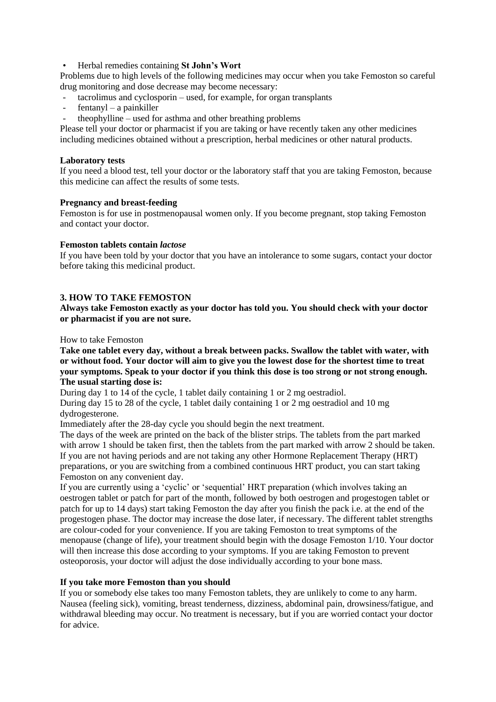• Herbal remedies containing **St John's Wort** 

Problems due to high levels of the following medicines may occur when you take Femoston so careful drug monitoring and dose decrease may become necessary:

- tacrolimus and cyclosporin used, for example, for organ transplants
- $f$ entanyl a painkiller
- theophylline used for asthma and other breathing problems

Please tell your doctor or pharmacist if you are taking or have recently taken any other medicines including medicines obtained without a prescription, herbal medicines or other natural products.

#### **Laboratory tests**

If you need a blood test, tell your doctor or the laboratory staff that you are taking Femoston, because this medicine can affect the results of some tests.

#### **Pregnancy and breast-feeding**

Femoston is for use in postmenopausal women only. If you become pregnant, stop taking Femoston and contact your doctor.

#### **Femoston tablets contain** *lactose*

If you have been told by your doctor that you have an intolerance to some sugars, contact your doctor before taking this medicinal product.

### **3. HOW TO TAKE FEMOSTON**

**Always take Femoston exactly as your doctor has told you. You should check with your doctor or pharmacist if you are not sure.**

#### How to take Femoston

**Take one tablet every day, without a break between packs. Swallow the tablet with water, with or without food. Your doctor will aim to give you the lowest dose for the shortest time to treat your symptoms. Speak to your doctor if you think this dose is too strong or not strong enough. The usual starting dose is:**

During day 1 to 14 of the cycle, 1 tablet daily containing 1 or 2 mg oestradiol.

During day 15 to 28 of the cycle, 1 tablet daily containing 1 or 2 mg oestradiol and 10 mg dydrogesterone.

Immediately after the 28-day cycle you should begin the next treatment.

The days of the week are printed on the back of the blister strips. The tablets from the part marked with arrow 1 should be taken first, then the tablets from the part marked with arrow 2 should be taken. If you are not having periods and are not taking any other Hormone Replacement Therapy (HRT) preparations, or you are switching from a combined continuous HRT product, you can start taking Femoston on any convenient day.

If you are currently using a 'cyclic' or 'sequential' HRT preparation (which involves taking an oestrogen tablet or patch for part of the month, followed by both oestrogen and progestogen tablet or patch for up to 14 days) start taking Femoston the day after you finish the pack i.e. at the end of the progestogen phase. The doctor may increase the dose later, if necessary. The different tablet strengths are colour-coded for your convenience. If you are taking Femoston to treat symptoms of the menopause (change of life), your treatment should begin with the dosage Femoston 1/10. Your doctor will then increase this dose according to your symptoms. If you are taking Femoston to prevent osteoporosis, your doctor will adjust the dose individually according to your bone mass.

## **If you take more Femoston than you should**

If you or somebody else takes too many Femoston tablets, they are unlikely to come to any harm. Nausea (feeling sick), vomiting, breast tenderness, dizziness, abdominal pain, drowsiness/fatigue, and withdrawal bleeding may occur. No treatment is necessary, but if you are worried contact your doctor for advice.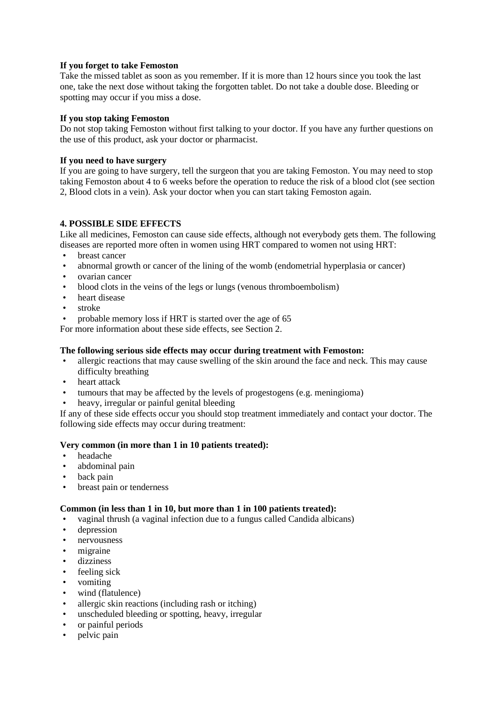## **If you forget to take Femoston**

Take the missed tablet as soon as you remember. If it is more than 12 hours since you took the last one, take the next dose without taking the forgotten tablet. Do not take a double dose. Bleeding or spotting may occur if you miss a dose.

## **If you stop taking Femoston**

Do not stop taking Femoston without first talking to your doctor. If you have any further questions on the use of this product, ask your doctor or pharmacist.

## **If you need to have surgery**

If you are going to have surgery, tell the surgeon that you are taking Femoston. You may need to stop taking Femoston about 4 to 6 weeks before the operation to reduce the risk of a blood clot (see section 2, Blood clots in a vein). Ask your doctor when you can start taking Femoston again.

## **4. POSSIBLE SIDE EFFECTS**

Like all medicines, Femoston can cause side effects, although not everybody gets them. The following diseases are reported more often in women using HRT compared to women not using HRT:

- breast cancer
- abnormal growth or cancer of the lining of the womb (endometrial hyperplasia or cancer)
- ovarian cancer
- blood clots in the veins of the legs or lungs (venous thromboembolism)
- heart disease
- stroke
- probable memory loss if HRT is started over the age of 65

For more information about these side effects, see Section 2.

## **The following serious side effects may occur during treatment with Femoston:**

- allergic reactions that may cause swelling of the skin around the face and neck. This may cause difficulty breathing
- heart attack
- tumours that may be affected by the levels of progestogens (e.g. meningioma)
- heavy, irregular or painful genital bleeding

If any of these side effects occur you should stop treatment immediately and contact your doctor. The following side effects may occur during treatment:

## **Very common (in more than 1 in 10 patients treated):**

- headache
- abdominal pain
- back pain
- breast pain or tenderness

## **Common (in less than 1 in 10, but more than 1 in 100 patients treated):**

- vaginal thrush (a vaginal infection due to a fungus called Candida albicans)
- depression
- nervousness
- migraine
- dizziness
- feeling sick
- vomiting
- wind (flatulence)
- allergic skin reactions (including rash or itching)
- unscheduled bleeding or spotting, heavy, irregular
- or painful periods
- pelvic pain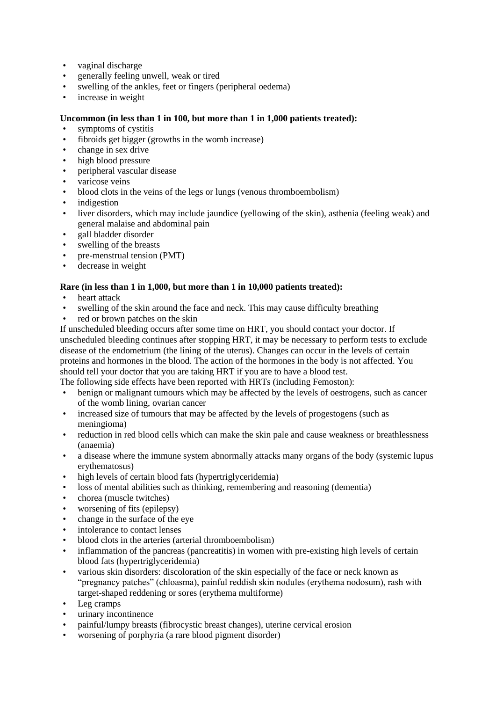- vaginal discharge
- generally feeling unwell, weak or tired
- swelling of the ankles, feet or fingers (peripheral oedema)
- increase in weight

## **Uncommon (in less than 1 in 100, but more than 1 in 1,000 patients treated):**

- symptoms of cystitis
- fibroids get bigger (growths in the womb increase)
- change in sex drive
- high blood pressure
- peripheral vascular disease
- varicose veins
- blood clots in the veins of the legs or lungs (venous thromboembolism)
- indigestion
- liver disorders, which may include jaundice (yellowing of the skin), asthenia (feeling weak) and general malaise and abdominal pain
- gall bladder disorder
- swelling of the breasts
- pre-menstrual tension (PMT)
- decrease in weight

## **Rare (in less than 1 in 1,000, but more than 1 in 10,000 patients treated):**

- heart attack
- swelling of the skin around the face and neck. This may cause difficulty breathing
- red or brown patches on the skin

If unscheduled bleeding occurs after some time on HRT, you should contact your doctor. If unscheduled bleeding continues after stopping HRT, it may be necessary to perform tests to exclude disease of the endometrium (the lining of the uterus). Changes can occur in the levels of certain proteins and hormones in the blood. The action of the hormones in the body is not affected. You should tell your doctor that you are taking HRT if you are to have a blood test.

The following side effects have been reported with HRTs (including Femoston):

- benign or malignant tumours which may be affected by the levels of oestrogens, such as cancer of the womb lining, ovarian cancer
- increased size of tumours that may be affected by the levels of progestogens (such as meningioma)
- reduction in red blood cells which can make the skin pale and cause weakness or breathlessness (anaemia)
- a disease where the immune system abnormally attacks many organs of the body (systemic lupus erythematosus)
- high levels of certain blood fats (hypertriglyceridemia)
- loss of mental abilities such as thinking, remembering and reasoning (dementia)
- chorea (muscle twitches)
- worsening of fits (epilepsy)
- change in the surface of the eye
- intolerance to contact lenses
- blood clots in the arteries (arterial thromboembolism)
- inflammation of the pancreas (pancreatitis) in women with pre-existing high levels of certain blood fats (hypertriglyceridemia)
- various skin disorders: discoloration of the skin especially of the face or neck known as "pregnancy patches" (chloasma), painful reddish skin nodules (erythema nodosum), rash with target-shaped reddening or sores (erythema multiforme)
- Leg cramps
- urinary incontinence
- painful/lumpy breasts (fibrocystic breast changes), uterine cervical erosion
- worsening of porphyria (a rare blood pigment disorder)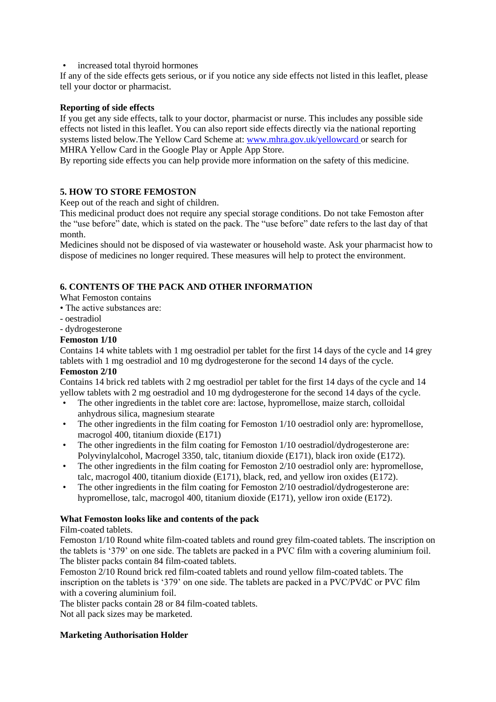• increased total thyroid hormones

If any of the side effects gets serious, or if you notice any side effects not listed in this leaflet, please tell your doctor or pharmacist.

## **Reporting of side effects**

If you get any side effects, talk to your doctor, pharmacist or nurse. This includes any possible side effects not listed in this leaflet. You can also report side effects directly via the national reporting systems listed below.The Yellow Card Scheme at: [www.mhra.gov.uk/yellowcard](http://www.mhra.gov.uk/yellowcard) or search for MHRA Yellow Card in the Google Play or Apple App Store.

By reporting side effects you can help provide more information on the safety of this medicine.

## **5. HOW TO STORE FEMOSTON**

Keep out of the reach and sight of children.

This medicinal product does not require any special storage conditions. Do not take Femoston after the "use before" date, which is stated on the pack. The "use before" date refers to the last day of that month.

Medicines should not be disposed of via wastewater or household waste. Ask your pharmacist how to dispose of medicines no longer required. These measures will help to protect the environment.

## **6. CONTENTS OF THE PACK AND OTHER INFORMATION**

What Femoston contains

- The active substances are:
- oestradiol
- dydrogesterone

## **Femoston 1/10**

Contains 14 white tablets with 1 mg oestradiol per tablet for the first 14 days of the cycle and 14 grey tablets with 1 mg oestradiol and 10 mg dydrogesterone for the second 14 days of the cycle.

## **Femoston 2/10**

Contains 14 brick red tablets with 2 mg oestradiol per tablet for the first 14 days of the cycle and 14 yellow tablets with 2 mg oestradiol and 10 mg dydrogesterone for the second 14 days of the cycle.

- The other ingredients in the tablet core are: lactose, hypromellose, maize starch, colloidal anhydrous silica, magnesium stearate
- The other ingredients in the film coating for Femoston 1/10 oestradiol only are: hypromellose, macrogol 400, titanium dioxide (E171)
- The other ingredients in the film coating for Femoston 1/10 oestradiol/dydrogesterone are: Polyvinylalcohol, Macrogel 3350, talc, titanium dioxide (E171), black iron oxide (E172).
- The other ingredients in the film coating for Femoston 2/10 oestradiol only are: hypromellose, talc, macrogol 400, titanium dioxide (E171), black, red, and yellow iron oxides (E172).
- The other ingredients in the film coating for Femoston 2/10 oestradiol/dydrogesterone are: hypromellose, talc, macrogol 400, titanium dioxide (E171), yellow iron oxide (E172).

## **What Femoston looks like and contents of the pack**

## Film-coated tablets.

Femoston 1/10 Round white film-coated tablets and round grey film-coated tablets. The inscription on the tablets is '379' on one side. The tablets are packed in a PVC film with a covering aluminium foil. The blister packs contain 84 film-coated tablets.

Femoston 2/10 Round brick red film-coated tablets and round yellow film-coated tablets. The inscription on the tablets is '379' on one side. The tablets are packed in a PVC/PVdC or PVC film with a covering aluminium foil.

The blister packs contain 28 or 84 film-coated tablets.

Not all pack sizes may be marketed.

## **Marketing Authorisation Holder**